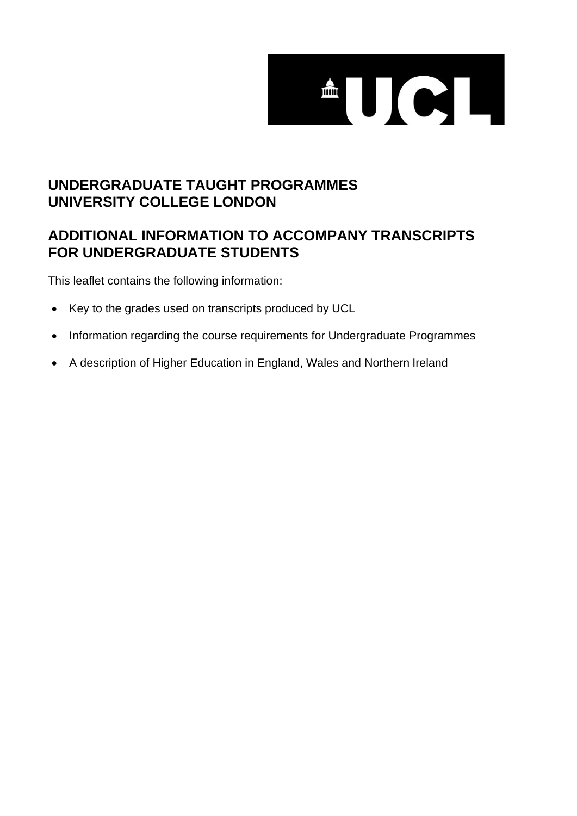

# **UNDERGRADUATE TAUGHT PROGRAMMES UNIVERSITY COLLEGE LONDON**

## **ADDITIONAL INFORMATION TO ACCOMPANY TRANSCRIPTS FOR UNDERGRADUATE STUDENTS**

This leaflet contains the following information:

- Key to the grades used on transcripts produced by UCL
- Information regarding the course requirements for Undergraduate Programmes
- A description of Higher Education in England, Wales and Northern Ireland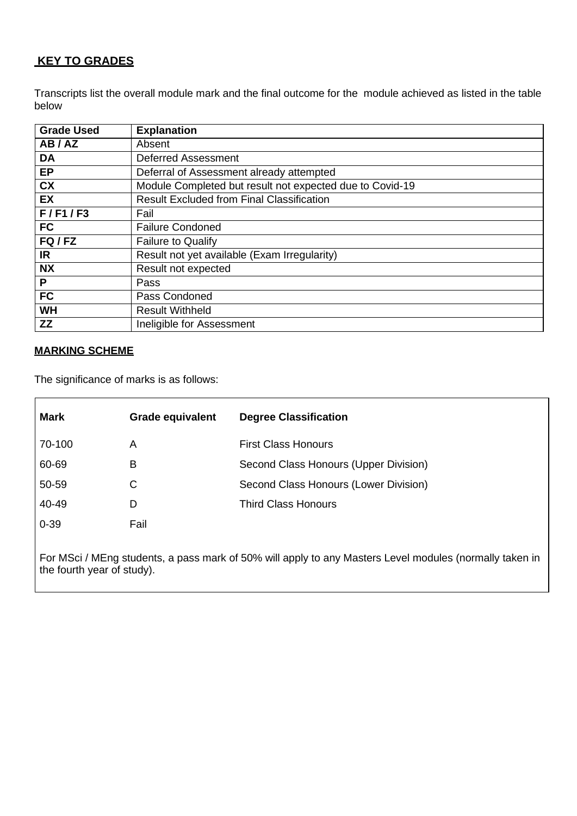## **KEY TO GRADES**

Transcripts list the overall module mark and the final outcome for the module achieved as listed in the table below

| <b>Grade Used</b> | <b>Explanation</b>                                       |  |
|-------------------|----------------------------------------------------------|--|
| AB/AZ             | Absent                                                   |  |
| <b>DA</b>         | <b>Deferred Assessment</b>                               |  |
| <b>EP</b>         | Deferral of Assessment already attempted                 |  |
| <b>CX</b>         | Module Completed but result not expected due to Covid-19 |  |
| <b>EX</b>         | <b>Result Excluded from Final Classification</b>         |  |
| F/F1/F3           | Fail                                                     |  |
| <b>FC</b>         | <b>Failure Condoned</b>                                  |  |
| FQ/FZ             | <b>Failure to Qualify</b>                                |  |
| IR                | Result not yet available (Exam Irregularity)             |  |
| <b>NX</b>         | Result not expected                                      |  |
| P                 | Pass                                                     |  |
| <b>FC</b>         | Pass Condoned                                            |  |
| <b>WH</b>         | <b>Result Withheld</b>                                   |  |
| <b>ZZ</b>         | Ineligible for Assessment                                |  |

#### **MARKING SCHEME**

The significance of marks is as follows:

| <b>Mark</b> | <b>Grade equivalent</b> | <b>Degree Classification</b>          |
|-------------|-------------------------|---------------------------------------|
| 70-100      | A                       | <b>First Class Honours</b>            |
| 60-69       | B                       | Second Class Honours (Upper Division) |
| 50-59       | С                       | Second Class Honours (Lower Division) |
| 40-49       | D                       | <b>Third Class Honours</b>            |
| $0 - 39$    | Fail                    |                                       |
|             |                         |                                       |

For MSci / MEng students, a pass mark of 50% will apply to any Masters Level modules (normally taken in the fourth year of study).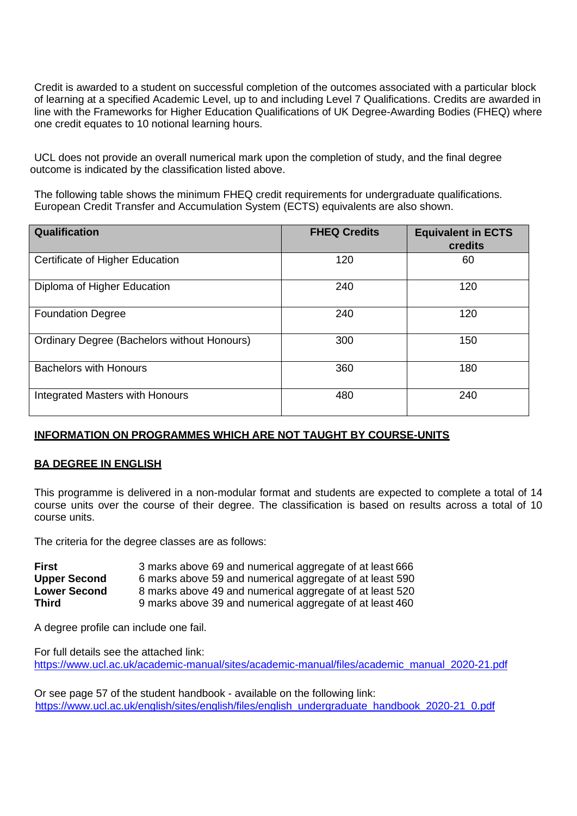Credit is awarded to a student on successful completion of the outcomes associated with a particular block of learning at a specified Academic Level, up to and including Level 7 Qualifications. Credits are awarded in line with the Frameworks for Higher Education Qualifications of UK Degree-Awarding Bodies (FHEQ) where one credit equates to 10 notional learning hours.

UCL does not provide an overall numerical mark upon the completion of study, and the final degree outcome is indicated by the classification listed above.

The following table shows the minimum FHEQ credit requirements for undergraduate qualifications. European Credit Transfer and Accumulation System (ECTS) equivalents are also shown.

| Qualification                                      | <b>FHEQ Credits</b> | <b>Equivalent in ECTS</b><br>credits |
|----------------------------------------------------|---------------------|--------------------------------------|
| Certificate of Higher Education                    | 120                 | 60                                   |
| Diploma of Higher Education                        | 240                 | 120                                  |
| <b>Foundation Degree</b>                           | 240                 | 120                                  |
| <b>Ordinary Degree (Bachelors without Honours)</b> | 300                 | 150                                  |
| <b>Bachelors with Honours</b>                      | 360                 | 180                                  |
| Integrated Masters with Honours                    | 480                 | 240                                  |

### **INFORMATION ON PROGRAMMES WHICH ARE NOT TAUGHT BY COURSE-UNITS**

### **BA DEGREE IN ENGLISH**

This programme is delivered in a non-modular format and students are expected to complete a total of 14 course units over the course of their degree. The classification is based on results across a total of 10 course units.

The criteria for the degree classes are as follows:

| <b>First</b>        | 3 marks above 69 and numerical aggregate of at least 666 |
|---------------------|----------------------------------------------------------|
| <b>Upper Second</b> | 6 marks above 59 and numerical aggregate of at least 590 |
| <b>Lower Second</b> | 8 marks above 49 and numerical aggregate of at least 520 |
| <b>Third</b>        | 9 marks above 39 and numerical aggregate of at least 460 |

A degree profile can include one fail.

For full details see the attached link: [https://www.ucl.ac.uk/academic-manual/sites/academic-manual/files/academic\\_manual\\_2020-21.pdf](https://www.ucl.ac.uk/academic-manual/sites/academic-manual/files/academic_manual_2020-21.pdf)

Or see page 57 of the student handbook - available on the following link: [https://www.ucl.ac.uk/english/sites/english/files/english\\_undergraduate\\_handbook\\_2020-21\\_0.pdf](https://www.ucl.ac.uk/english/sites/english/files/english_undergraduate_handbook_2020-21_0.pdf)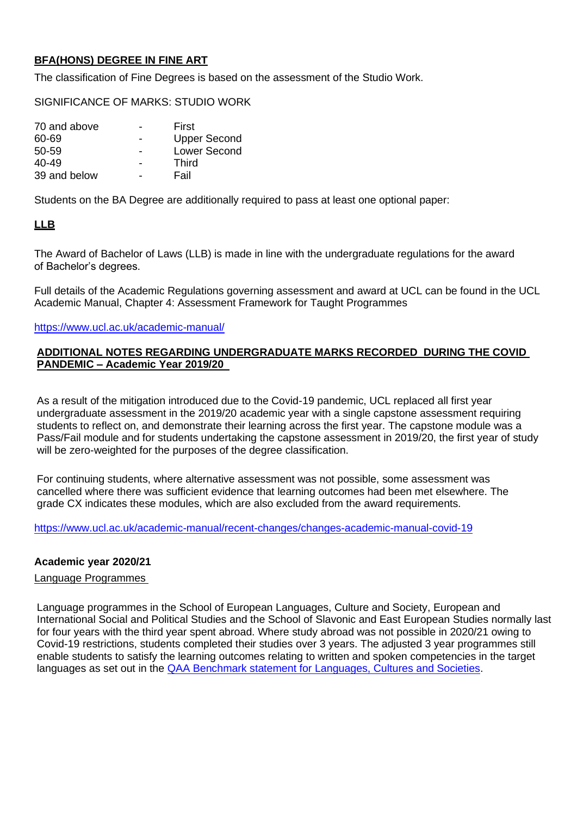## **BFA(HONS) DEGREE IN FINE ART**

The classification of Fine Degrees is based on the assessment of the Studio Work.

SIGNIFICANCE OF MARKS: STUDIO WORK

| 70 and above | First               |
|--------------|---------------------|
| 60-69        | <b>Upper Second</b> |
| 50-59        | Lower Second        |
| $40 - 49$    | Third               |
| 39 and below | Fail                |

Students on the BA Degree are additionally required to pass at least one optional paper:

## **LLB**

The Award of Bachelor of Laws (LLB) is made in line with the undergraduate regulations for the award of Bachelor's degrees.

Full details of the Academic Regulations governing assessment and award at UCL can be found in the UCL Academic Manual, Chapter 4: Assessment Framework for Taught Programmes

#### <https://www.ucl.ac.uk/academic-manual/>

#### **ADDITIONAL NOTES REGARDING UNDERGRADUATE MARKS RECORDED DURING THE COVID PANDEMIC – Academic Year 2019/20**

As a result of the mitigation introduced due to the Covid-19 pandemic, UCL replaced all first year undergraduate assessment in the 2019/20 academic year with a single capstone assessment requiring students to reflect on, and demonstrate their learning across the first year. The capstone module was a Pass/Fail module and for students undertaking the capstone assessment in 2019/20, the first year of study will be zero-weighted for the purposes of the degree classification.

For continuing students, where alternative assessment was not possible, some assessment was cancelled where there was sufficient evidence that learning outcomes had been met elsewhere. The grade CX indicates these modules, which are also excluded from the award requirements.

https://www.ucl.ac.uk/academic-manual/recent-changes/changes-academic-manual-covid-19

### **Academic year 2020/21**

## Language Programmes

Language programmes in the School of European Languages, Culture and Society, European and International Social and Political Studies and the School of Slavonic and East European Studies normally last for four years with the third year spent abroad. Where study abroad was not possible in 2020/21 owing to Covid-19 restrictions, students completed their studies over 3 years. The adjusted 3 year programmes still enable students to satisfy the learning outcomes relating to written and spoken competencies in the target languages as set out in the [QAA Benchmark statement for Languages, Cultures and Societies.](https://www.qaa.ac.uk/docs/qaa/subject-benchmark-statements/subject-benchmark-statement-languages-cultures-and-societies.pdf)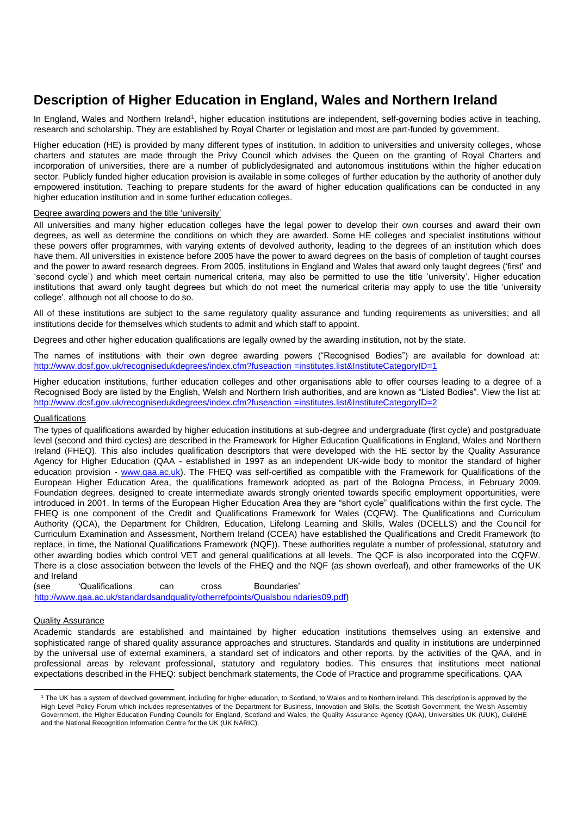## **Description of Higher Education in England, Wales and Northern Ireland**

In England, Wales and Northern Ireland<sup>1</sup>, higher education institutions are independent, self-governing bodies active in teaching, research and scholarship. They are established by Royal Charter or legislation and most are part-funded by government.

Higher education (HE) is provided by many different types of institution. In addition to universities and university colleges, whose charters and statutes are made through the Privy Council which advises the Queen on the granting of Royal Charters and incorporation of universities, there are a number of publiclydesignated and autonomous institutions within the higher education sector. Publicly funded higher education provision is available in some colleges of further education by the authority of another duly empowered institution. Teaching to prepare students for the award of higher education qualifications can be conducted in any higher education institution and in some further education colleges.

#### Degree awarding powers and the title 'university'

All universities and many higher education colleges have the legal power to develop their own courses and award their own degrees, as well as determine the conditions on which they are awarded. Some HE colleges and specialist institutions without these powers offer programmes, with varying extents of devolved authority, leading to the degrees of an institution which does have them. All universities in existence before 2005 have the power to award degrees on the basis of completion of taught courses and the power to award research degrees. From 2005, institutions in England and Wales that award only taught degrees ('first' and 'second cycle') and which meet certain numerical criteria, may also be permitted to use the title 'university'. Higher education institutions that award only taught degrees but which do not meet the numerical criteria may apply to use the title 'university college', although not all choose to do so.

All of these institutions are subject to the same regulatory quality assurance and funding requirements as universities; and all institutions decide for themselves which students to admit and which staff to appoint.

Degrees and other higher education qualifications are legally owned by the awarding institution, not by the state.

The names of institutions with their own degree awarding powers ("Recognised Bodies") are available for download at: [http://www.dcsf.gov.uk/recognisedukdegrees/index.cfm?fuseaction](http://www.dcsf.gov.uk/recognisedukdegrees/index.cfm?fuseaction=institutes.list&InstituteCategoryID=1) [=institutes.list&InstituteCategoryID=1](http://www.dcsf.gov.uk/recognisedukdegrees/index.cfm?fuseaction=institutes.list&InstituteCategoryID=1)

Higher education institutions, further education colleges and other organisations able to offer courses leading to a degree of a Recognised Body are listed by the English, Welsh and Northern Irish authorities, and are known as "Listed Bodies". View the list at: [http://www.dcsf.gov.uk/recognisedukdegrees/index.cfm?fuseaction](http://www.dcsf.gov.uk/recognisedukdegrees/index.cfm?fuseaction=institutes.list&InstituteCategoryID=2) [=institutes.list&InstituteCategoryID=2](http://www.dcsf.gov.uk/recognisedukdegrees/index.cfm?fuseaction=institutes.list&InstituteCategoryID=2)

#### **Qualifications**

The types of qualifications awarded by higher education institutions at sub-degree and undergraduate (first cycle) and postgraduate level (second and third cycles) are described in the Framework for Higher Education Qualifications in England, Wales and Northern Ireland (FHEQ). This also includes qualification descriptors that were developed with the HE sector by the Quality Assurance Agency for Higher Education (QAA - established in 1997 as an independent UK-wide body to monitor the standard of higher education provision - [www.qaa.ac.uk\)](http://www.qaa.ac.uk/). The FHEQ was self-certified as compatible with the Framework for Qualifications of the European Higher Education Area, the qualifications framework adopted as part of the Bologna Process, in February 2009. Foundation degrees, designed to create intermediate awards strongly oriented towards specific employment opportunities, were introduced in 2001. In terms of the European Higher Education Area they are "short cycle" qualifications within the first cycle. The FHEQ is one component of the Credit and Qualifications Framework for Wales (CQFW). The Qualifications and Curriculum Authority (QCA), the Department for Children, Education, Lifelong Learning and Skills, Wales (DCELLS) and the Council for Curriculum Examination and Assessment, Northern Ireland (CCEA) have established the Qualifications and Credit Framework (to replace, in time, the National Qualifications Framework (NQF)). These authorities regulate a number of professional, statutory and other awarding bodies which control VET and general qualifications at all levels. The QCF is also incorporated into the CQFW. There is a close association between the levels of the FHEQ and the NQF (as shown overleaf), and other frameworks of the UK and Ireland

(see 'Qualifications can cross Boundaries' [http://www.qaa.ac.uk/standardsandquality/otherrefpoints/Qualsbou](http://www.qaa.ac.uk/standardsandquality/otherrefpoints/Qualsboundaries09.pdf) [ndaries09.pdf\)](http://www.qaa.ac.uk/standardsandquality/otherrefpoints/Qualsboundaries09.pdf)

#### Quality Assurance

Academic standards are established and maintained by higher education institutions themselves using an extensive and sophisticated range of shared quality assurance approaches and structures. Standards and quality in institutions are underpinned by the universal use of external examiners, a standard set of indicators and other reports, by the activities of the QAA, and in professional areas by relevant professional, statutory and regulatory bodies. This ensures that institutions meet national expectations described in the FHEQ: subject benchmark statements, the Code of Practice and programme specifications. QAA

<sup>1</sup> The UK has a system of devolved government, including for higher education, to Scotland, to Wales and to Northern Ireland. This description is approved by the High Level Policy Forum which includes representatives of the Department for Business, Innovation and Skills, the Scottish Government, the Welsh Assembly Government, the Higher Education Funding Councils for England, Scotland and Wales, the Quality Assurance Agency (QAA), Universities UK (UUK), GuildHE and the National Recognition Information Centre for the UK (UK NARIC).